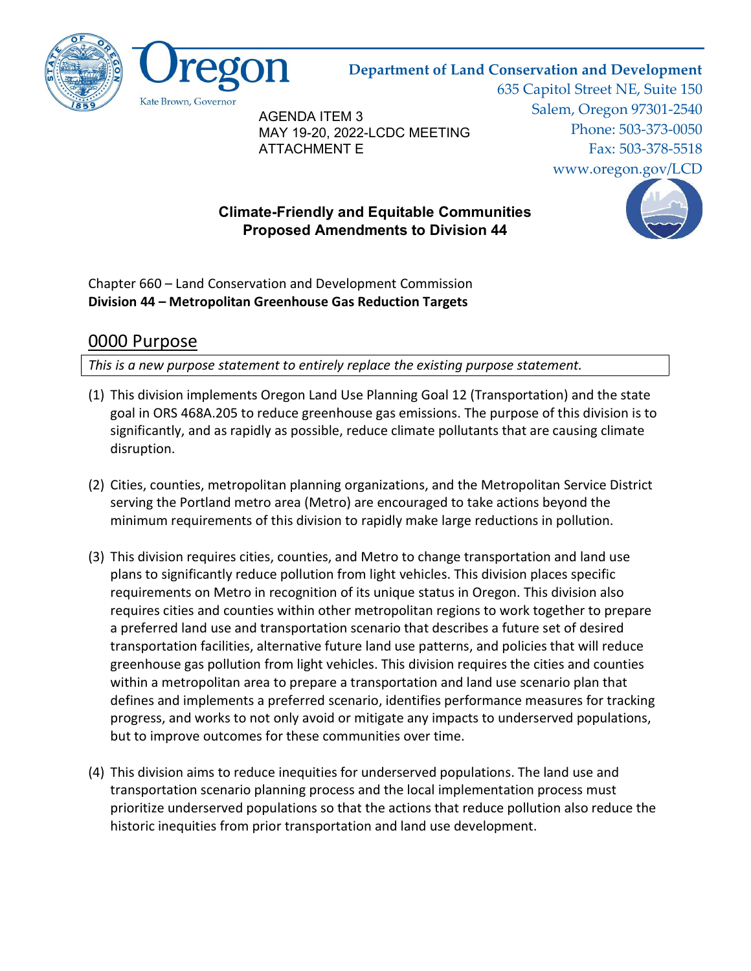

#### Department of Land Conservation and Development

AGENDA ITEM 3 MAY 19-20, 2022-LCDC MEETING ATTACHMENT E

635 Capitol Street NE, Suite 150 Salem, Oregon 97301-2540 Phone: 503-373-0050 Fax: 503-378-5518 www.oregon.gov/LCD

#### Climate-Friendly and Equitable Communities Proposed Amendments to Division 44



Chapter 660 – Land Conservation and Development Commission Division 44 – Metropolitan Greenhouse Gas Reduction Targets

#### 0000 Purpose

This is a new purpose statement to entirely replace the existing purpose statement.

- (1) This division implements Oregon Land Use Planning Goal 12 (Transportation) and the state goal in ORS 468A.205 to reduce greenhouse gas emissions. The purpose of this division is to significantly, and as rapidly as possible, reduce climate pollutants that are causing climate disruption.
- (2) Cities, counties, metropolitan planning organizations, and the Metropolitan Service District serving the Portland metro area (Metro) are encouraged to take actions beyond the minimum requirements of this division to rapidly make large reductions in pollution.
- (3) This division requires cities, counties, and Metro to change transportation and land use plans to significantly reduce pollution from light vehicles. This division places specific requirements on Metro in recognition of its unique status in Oregon. This division also requires cities and counties within other metropolitan regions to work together to prepare a preferred land use and transportation scenario that describes a future set of desired transportation facilities, alternative future land use patterns, and policies that will reduce greenhouse gas pollution from light vehicles. This division requires the cities and counties within a metropolitan area to prepare a transportation and land use scenario plan that defines and implements a preferred scenario, identifies performance measures for tracking progress, and works to not only avoid or mitigate any impacts to underserved populations, but to improve outcomes for these communities over time.
- (4) This division aims to reduce inequities for underserved populations. The land use and transportation scenario planning process and the local implementation process must prioritize underserved populations so that the actions that reduce pollution also reduce the historic inequities from prior transportation and land use development.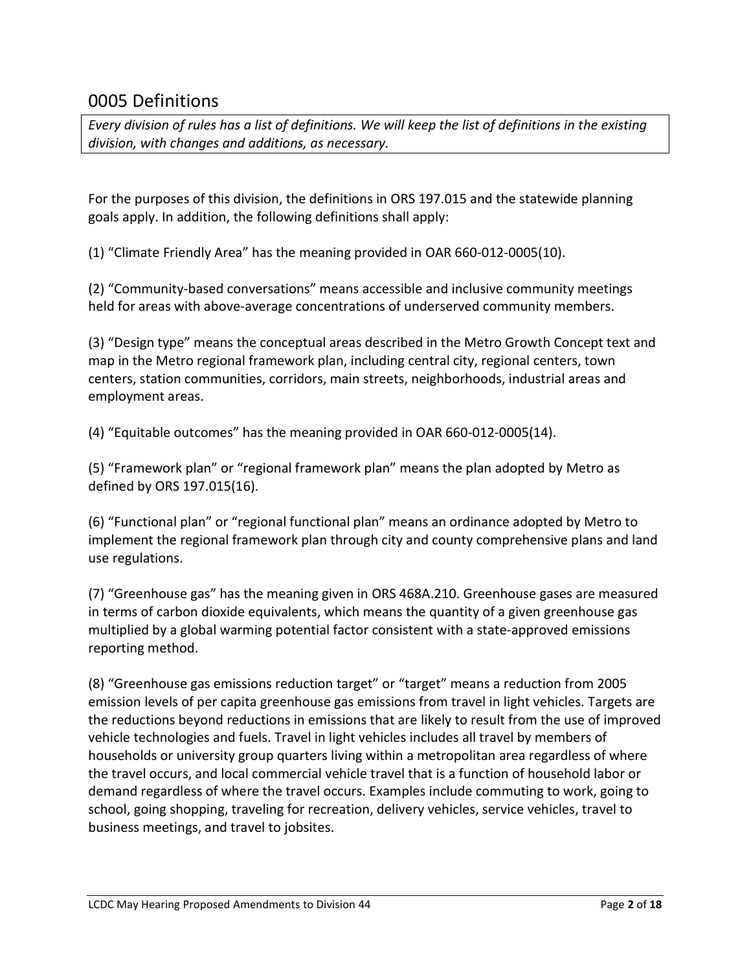### 0005 Definitions

Every division of rules has a list of definitions. We will keep the list of definitions in the existing division, with changes and additions, as necessary.

For the purposes of this division, the definitions in ORS 197.015 and the statewide planning goals apply. In addition, the following definitions shall apply:

(1) "Climate Friendly Area" has the meaning provided in OAR 660-012-0005(10).

(2) "Community-based conversations" means accessible and inclusive community meetings held for areas with above-average concentrations of underserved community members.

(3) "Design type" means the conceptual areas described in the Metro Growth Concept text and map in the Metro regional framework plan, including central city, regional centers, town centers, station communities, corridors, main streets, neighborhoods, industrial areas and employment areas.

(4) "Equitable outcomes" has the meaning provided in OAR 660-012-0005(14).

(5) "Framework plan" or "regional framework plan" means the plan adopted by Metro as defined by ORS 197.015(16).

(6) "Functional plan" or "regional functional plan" means an ordinance adopted by Metro to implement the regional framework plan through city and county comprehensive plans and land use regulations.

(7) "Greenhouse gas" has the meaning given in ORS 468A.210. Greenhouse gases are measured in terms of carbon dioxide equivalents, which means the quantity of a given greenhouse gas multiplied by a global warming potential factor consistent with a state-approved emissions reporting method.

(8) "Greenhouse gas emissions reduction target" or "target" means a reduction from 2005 emission levels of per capita greenhouse gas emissions from travel in light vehicles. Targets are the reductions beyond reductions in emissions that are likely to result from the use of improved vehicle technologies and fuels. Travel in light vehicles includes all travel by members of households or university group quarters living within a metropolitan area regardless of where the travel occurs, and local commercial vehicle travel that is a function of household labor or demand regardless of where the travel occurs. Examples include commuting to work, going to school, going shopping, traveling for recreation, delivery vehicles, service vehicles, travel to business meetings, and travel to jobsites.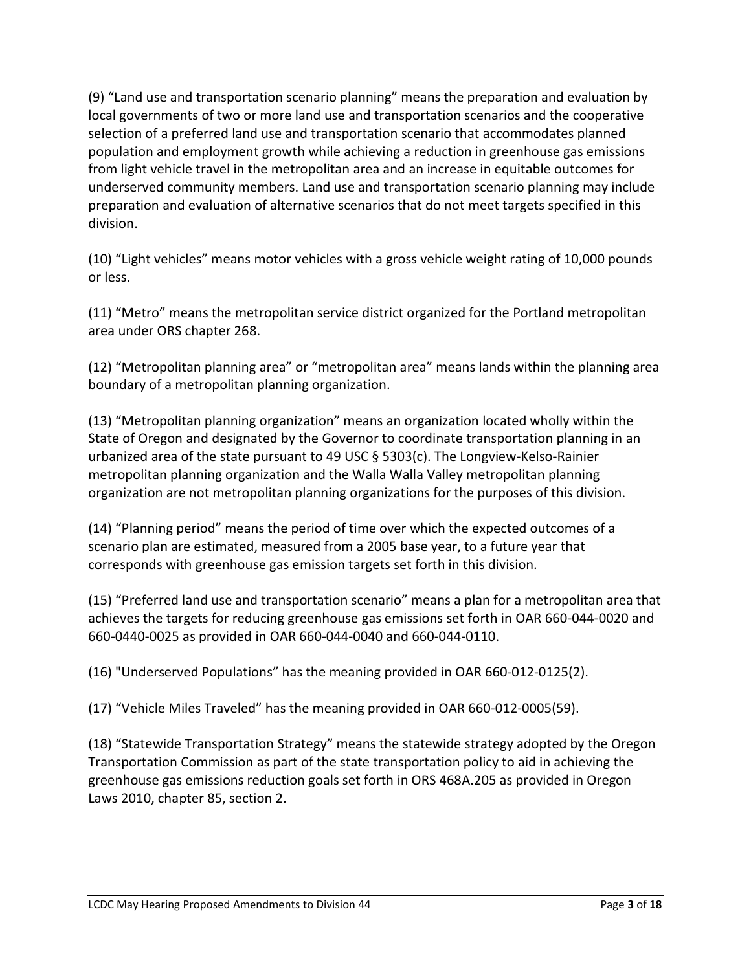(9) "Land use and transportation scenario planning" means the preparation and evaluation by local governments of two or more land use and transportation scenarios and the cooperative selection of a preferred land use and transportation scenario that accommodates planned population and employment growth while achieving a reduction in greenhouse gas emissions from light vehicle travel in the metropolitan area and an increase in equitable outcomes for underserved community members. Land use and transportation scenario planning may include preparation and evaluation of alternative scenarios that do not meet targets specified in this division.

(10) "Light vehicles" means motor vehicles with a gross vehicle weight rating of 10,000 pounds or less.

(11) "Metro" means the metropolitan service district organized for the Portland metropolitan area under ORS chapter 268.

(12) "Metropolitan planning area" or "metropolitan area" means lands within the planning area boundary of a metropolitan planning organization.

(13) "Metropolitan planning organization" means an organization located wholly within the State of Oregon and designated by the Governor to coordinate transportation planning in an urbanized area of the state pursuant to 49 USC § 5303(c). The Longview-Kelso-Rainier metropolitan planning organization and the Walla Walla Valley metropolitan planning organization are not metropolitan planning organizations for the purposes of this division.

(14) "Planning period" means the period of time over which the expected outcomes of a scenario plan are estimated, measured from a 2005 base year, to a future year that corresponds with greenhouse gas emission targets set forth in this division.

(15) "Preferred land use and transportation scenario" means a plan for a metropolitan area that achieves the targets for reducing greenhouse gas emissions set forth in OAR 660-044-0020 and 660-0440-0025 as provided in OAR 660-044-0040 and 660-044-0110.

(16) "Underserved Populations" has the meaning provided in OAR 660-012-0125(2).

(17) "Vehicle Miles Traveled" has the meaning provided in OAR 660-012-0005(59).

(18) "Statewide Transportation Strategy" means the statewide strategy adopted by the Oregon Transportation Commission as part of the state transportation policy to aid in achieving the greenhouse gas emissions reduction goals set forth in ORS 468A.205 as provided in Oregon Laws 2010, chapter 85, section 2.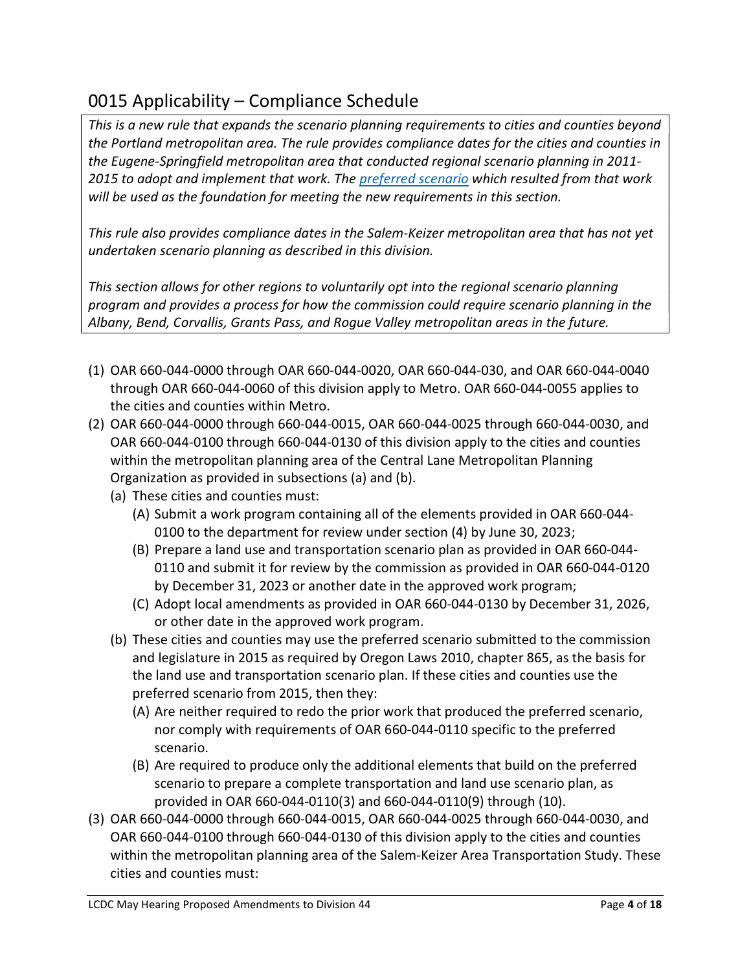### 0015 Applicability – Compliance Schedule

This is a new rule that expands the scenario planning requirements to cities and counties beyond the Portland metropolitan area. The rule provides compliance dates for the cities and counties in the Eugene-Springfield metropolitan area that conducted regional scenario planning in 2011- 2015 to adopt and implement that work. The preferred scenario which resulted from that work will be used as the foundation for meeting the new requirements in this section.

This rule also provides compliance dates in the Salem-Keizer metropolitan area that has not yet undertaken scenario planning as described in this division.

This section allows for other regions to voluntarily opt into the regional scenario planning program and provides a process for how the commission could require scenario planning in the Albany, Bend, Corvallis, Grants Pass, and Rogue Valley metropolitan areas in the future.

- (1) OAR 660-044-0000 through OAR 660-044-0020, OAR 660-044-030, and OAR 660-044-0040 through OAR 660-044-0060 of this division apply to Metro. OAR 660-044-0055 applies to the cities and counties within Metro.
- (2) OAR 660-044-0000 through 660-044-0015, OAR 660-044-0025 through 660-044-0030, and OAR 660-044-0100 through 660-044-0130 of this division apply to the cities and counties within the metropolitan planning area of the Central Lane Metropolitan Planning Organization as provided in subsections (a) and (b).
	- (a) These cities and counties must:
		- (A) Submit a work program containing all of the elements provided in OAR 660-044- 0100 to the department for review under section (4) by June 30, 2023;
		- (B) Prepare a land use and transportation scenario plan as provided in OAR 660-044- 0110 and submit it for review by the commission as provided in OAR 660-044-0120 by December 31, 2023 or another date in the approved work program;
		- (C) Adopt local amendments as provided in OAR 660-044-0130 by December 31, 2026, or other date in the approved work program.
	- (b) These cities and counties may use the preferred scenario submitted to the commission and legislature in 2015 as required by Oregon Laws 2010, chapter 865, as the basis for the land use and transportation scenario plan. If these cities and counties use the preferred scenario from 2015, then they:
		- (A) Are neither required to redo the prior work that produced the preferred scenario, nor comply with requirements of OAR 660-044-0110 specific to the preferred scenario.
		- (B) Are required to produce only the additional elements that build on the preferred scenario to prepare a complete transportation and land use scenario plan, as provided in OAR 660-044-0110(3) and 660-044-0110(9) through (10).
- (3) OAR 660-044-0000 through 660-044-0015, OAR 660-044-0025 through 660-044-0030, and OAR 660-044-0100 through 660-044-0130 of this division apply to the cities and counties within the metropolitan planning area of the Salem-Keizer Area Transportation Study. These cities and counties must: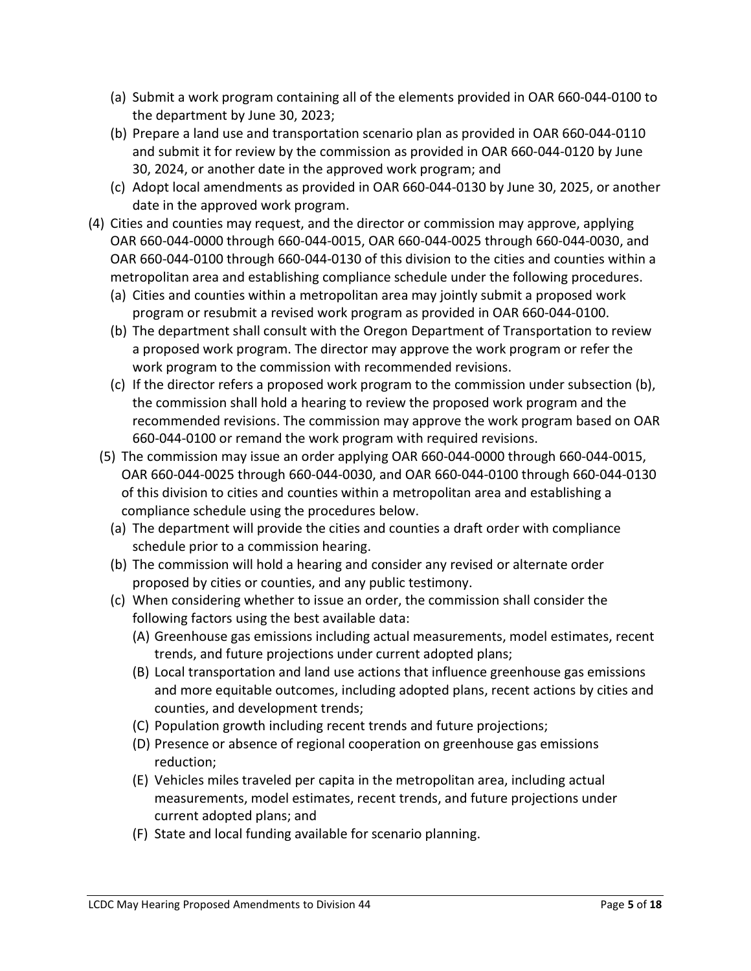- (a) Submit a work program containing all of the elements provided in OAR 660-044-0100 to the department by June 30, 2023;
- (b) Prepare a land use and transportation scenario plan as provided in OAR 660-044-0110 and submit it for review by the commission as provided in OAR 660-044-0120 by June 30, 2024, or another date in the approved work program; and
- (c) Adopt local amendments as provided in OAR 660-044-0130 by June 30, 2025, or another date in the approved work program.
- (4) Cities and counties may request, and the director or commission may approve, applying OAR 660-044-0000 through 660-044-0015, OAR 660-044-0025 through 660-044-0030, and OAR 660-044-0100 through 660-044-0130 of this division to the cities and counties within a metropolitan area and establishing compliance schedule under the following procedures.
	- (a) Cities and counties within a metropolitan area may jointly submit a proposed work program or resubmit a revised work program as provided in OAR 660-044-0100.
	- (b) The department shall consult with the Oregon Department of Transportation to review a proposed work program. The director may approve the work program or refer the work program to the commission with recommended revisions.
	- (c) If the director refers a proposed work program to the commission under subsection (b), the commission shall hold a hearing to review the proposed work program and the recommended revisions. The commission may approve the work program based on OAR 660-044-0100 or remand the work program with required revisions.
	- (5) The commission may issue an order applying OAR 660-044-0000 through 660-044-0015, OAR 660-044-0025 through 660-044-0030, and OAR 660-044-0100 through 660-044-0130 of this division to cities and counties within a metropolitan area and establishing a compliance schedule using the procedures below.
		- (a) The department will provide the cities and counties a draft order with compliance schedule prior to a commission hearing.
		- (b) The commission will hold a hearing and consider any revised or alternate order proposed by cities or counties, and any public testimony.
		- (c) When considering whether to issue an order, the commission shall consider the following factors using the best available data:
			- (A) Greenhouse gas emissions including actual measurements, model estimates, recent trends, and future projections under current adopted plans;
			- (B) Local transportation and land use actions that influence greenhouse gas emissions and more equitable outcomes, including adopted plans, recent actions by cities and counties, and development trends;
			- (C) Population growth including recent trends and future projections;
			- (D) Presence or absence of regional cooperation on greenhouse gas emissions reduction;
			- (E) Vehicles miles traveled per capita in the metropolitan area, including actual measurements, model estimates, recent trends, and future projections under current adopted plans; and
			- (F) State and local funding available for scenario planning.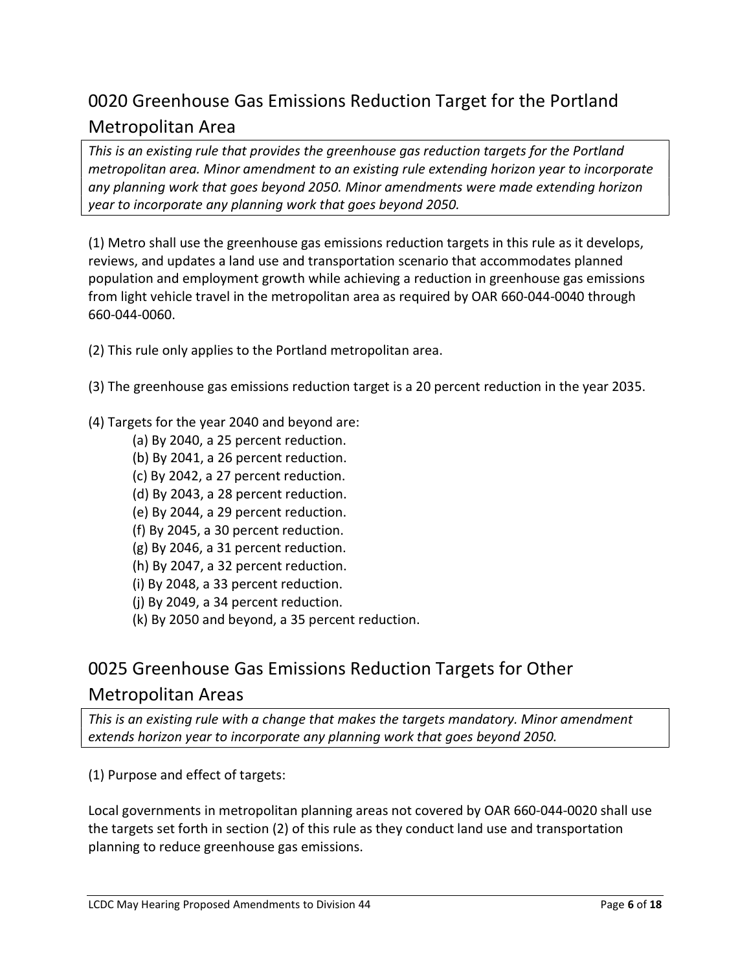## 0020 Greenhouse Gas Emissions Reduction Target for the Portland Metropolitan Area

This is an existing rule that provides the greenhouse gas reduction targets for the Portland metropolitan area. Minor amendment to an existing rule extending horizon year to incorporate any planning work that goes beyond 2050. Minor amendments were made extending horizon year to incorporate any planning work that goes beyond 2050.

(1) Metro shall use the greenhouse gas emissions reduction targets in this rule as it develops, reviews, and updates a land use and transportation scenario that accommodates planned population and employment growth while achieving a reduction in greenhouse gas emissions from light vehicle travel in the metropolitan area as required by OAR 660-044-0040 through 660-044-0060.

(2) This rule only applies to the Portland metropolitan area.

- (3) The greenhouse gas emissions reduction target is a 20 percent reduction in the year 2035.
- (4) Targets for the year 2040 and beyond are:
	- (a) By 2040, a 25 percent reduction.
	- (b) By 2041, a 26 percent reduction.
	- (c) By 2042, a 27 percent reduction.
	- (d) By 2043, a 28 percent reduction.
	- (e) By 2044, a 29 percent reduction.
	- (f) By 2045, a 30 percent reduction.
	- (g) By 2046, a 31 percent reduction.
	- (h) By 2047, a 32 percent reduction.
	- (i) By 2048, a 33 percent reduction.
	- (j) By 2049, a 34 percent reduction.
	- (k) By 2050 and beyond, a 35 percent reduction.

## 0025 Greenhouse Gas Emissions Reduction Targets for Other Metropolitan Areas

This is an existing rule with a change that makes the targets mandatory. Minor amendment extends horizon year to incorporate any planning work that goes beyond 2050.

(1) Purpose and effect of targets:

Local governments in metropolitan planning areas not covered by OAR 660-044-0020 shall use the targets set forth in section (2) of this rule as they conduct land use and transportation planning to reduce greenhouse gas emissions.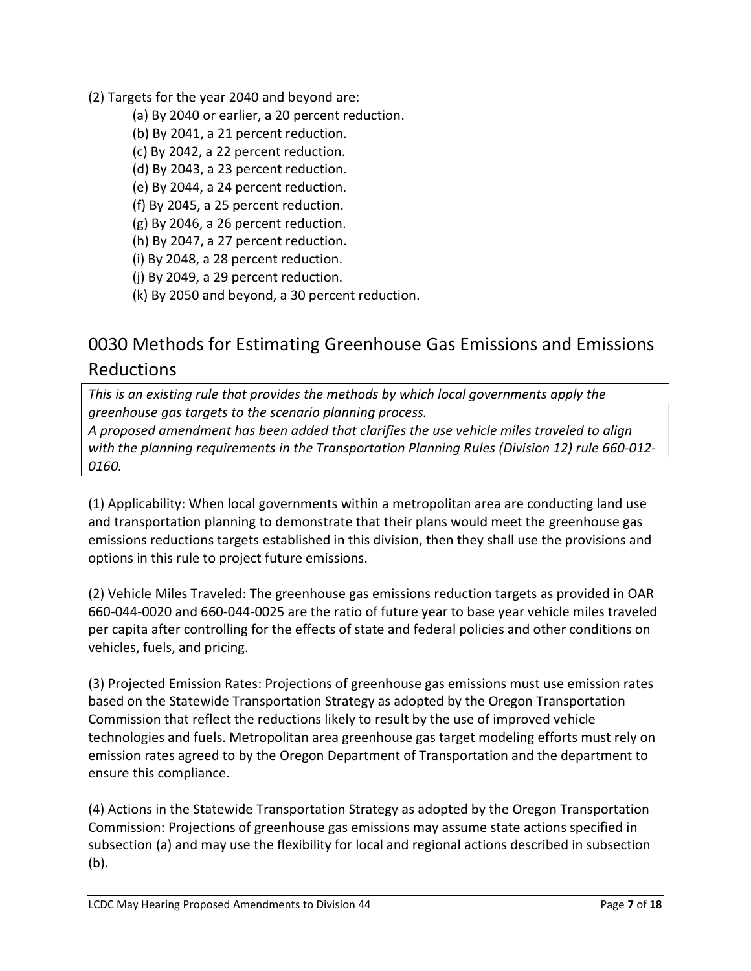- (2) Targets for the year 2040 and beyond are:
	- (a) By 2040 or earlier, a 20 percent reduction.
	- (b) By 2041, a 21 percent reduction.
	- (c) By 2042, a 22 percent reduction.
	- (d) By 2043, a 23 percent reduction.
	- (e) By 2044, a 24 percent reduction.
	- (f) By 2045, a 25 percent reduction.
	- (g) By 2046, a 26 percent reduction.
	- (h) By 2047, a 27 percent reduction.
	- (i) By 2048, a 28 percent reduction.
	- (j) By 2049, a 29 percent reduction.
	- (k) By 2050 and beyond, a 30 percent reduction.

## 0030 Methods for Estimating Greenhouse Gas Emissions and Emissions Reductions

This is an existing rule that provides the methods by which local governments apply the greenhouse gas targets to the scenario planning process.

A proposed amendment has been added that clarifies the use vehicle miles traveled to align with the planning requirements in the Transportation Planning Rules (Division 12) rule 660-012- 0160.

(1) Applicability: When local governments within a metropolitan area are conducting land use and transportation planning to demonstrate that their plans would meet the greenhouse gas emissions reductions targets established in this division, then they shall use the provisions and options in this rule to project future emissions.

(2) Vehicle Miles Traveled: The greenhouse gas emissions reduction targets as provided in OAR 660-044-0020 and 660-044-0025 are the ratio of future year to base year vehicle miles traveled per capita after controlling for the effects of state and federal policies and other conditions on vehicles, fuels, and pricing.

(3) Projected Emission Rates: Projections of greenhouse gas emissions must use emission rates based on the Statewide Transportation Strategy as adopted by the Oregon Transportation Commission that reflect the reductions likely to result by the use of improved vehicle technologies and fuels. Metropolitan area greenhouse gas target modeling efforts must rely on emission rates agreed to by the Oregon Department of Transportation and the department to ensure this compliance.

(4) Actions in the Statewide Transportation Strategy as adopted by the Oregon Transportation Commission: Projections of greenhouse gas emissions may assume state actions specified in subsection (a) and may use the flexibility for local and regional actions described in subsection (b).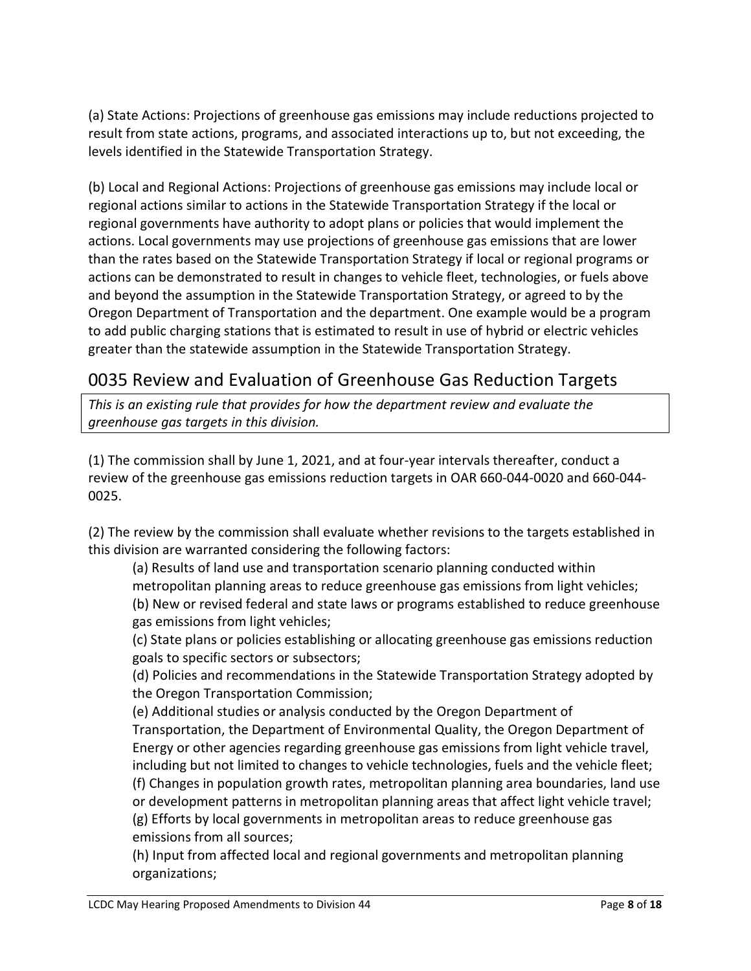(a) State Actions: Projections of greenhouse gas emissions may include reductions projected to result from state actions, programs, and associated interactions up to, but not exceeding, the levels identified in the Statewide Transportation Strategy.

(b) Local and Regional Actions: Projections of greenhouse gas emissions may include local or regional actions similar to actions in the Statewide Transportation Strategy if the local or regional governments have authority to adopt plans or policies that would implement the actions. Local governments may use projections of greenhouse gas emissions that are lower than the rates based on the Statewide Transportation Strategy if local or regional programs or actions can be demonstrated to result in changes to vehicle fleet, technologies, or fuels above and beyond the assumption in the Statewide Transportation Strategy, or agreed to by the Oregon Department of Transportation and the department. One example would be a program to add public charging stations that is estimated to result in use of hybrid or electric vehicles greater than the statewide assumption in the Statewide Transportation Strategy.

### 0035 Review and Evaluation of Greenhouse Gas Reduction Targets

This is an existing rule that provides for how the department review and evaluate the greenhouse gas targets in this division.

(1) The commission shall by June 1, 2021, and at four-year intervals thereafter, conduct a review of the greenhouse gas emissions reduction targets in OAR 660-044-0020 and 660-044- 0025.

(2) The review by the commission shall evaluate whether revisions to the targets established in this division are warranted considering the following factors:

(a) Results of land use and transportation scenario planning conducted within metropolitan planning areas to reduce greenhouse gas emissions from light vehicles; (b) New or revised federal and state laws or programs established to reduce greenhouse gas emissions from light vehicles;

(c) State plans or policies establishing or allocating greenhouse gas emissions reduction goals to specific sectors or subsectors;

(d) Policies and recommendations in the Statewide Transportation Strategy adopted by the Oregon Transportation Commission;

(e) Additional studies or analysis conducted by the Oregon Department of Transportation, the Department of Environmental Quality, the Oregon Department of Energy or other agencies regarding greenhouse gas emissions from light vehicle travel, including but not limited to changes to vehicle technologies, fuels and the vehicle fleet; (f) Changes in population growth rates, metropolitan planning area boundaries, land use or development patterns in metropolitan planning areas that affect light vehicle travel; (g) Efforts by local governments in metropolitan areas to reduce greenhouse gas emissions from all sources;

(h) Input from affected local and regional governments and metropolitan planning organizations;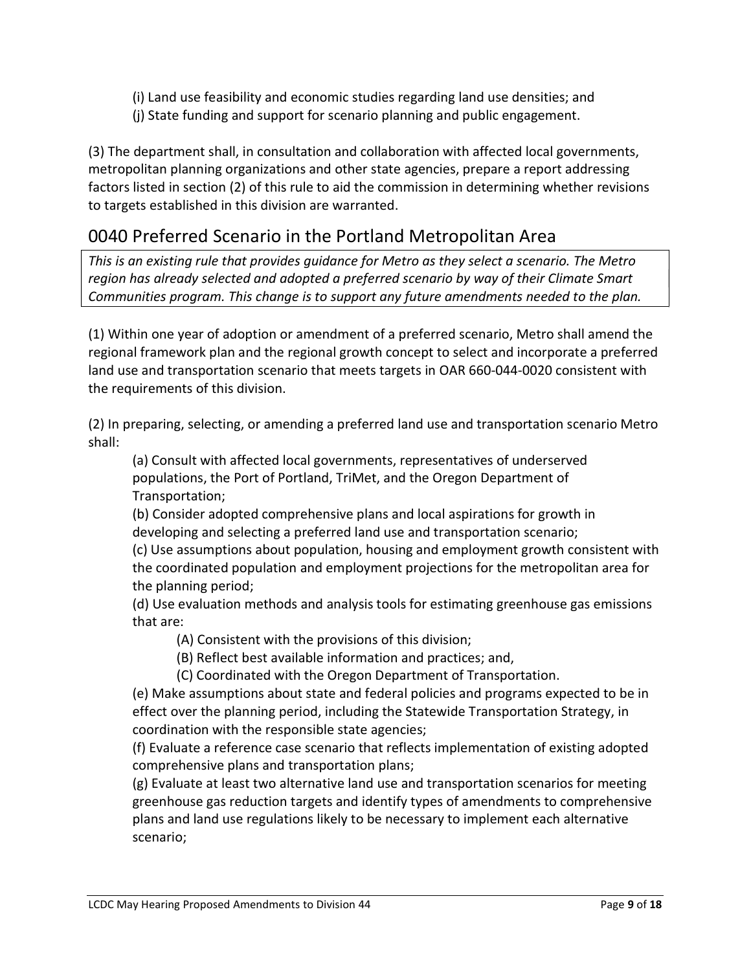- (i) Land use feasibility and economic studies regarding land use densities; and
- (j) State funding and support for scenario planning and public engagement.

(3) The department shall, in consultation and collaboration with affected local governments, metropolitan planning organizations and other state agencies, prepare a report addressing factors listed in section (2) of this rule to aid the commission in determining whether revisions to targets established in this division are warranted.

### 0040 Preferred Scenario in the Portland Metropolitan Area

This is an existing rule that provides guidance for Metro as they select a scenario. The Metro region has already selected and adopted a preferred scenario by way of their Climate Smart Communities program. This change is to support any future amendments needed to the plan.

(1) Within one year of adoption or amendment of a preferred scenario, Metro shall amend the regional framework plan and the regional growth concept to select and incorporate a preferred land use and transportation scenario that meets targets in OAR 660-044-0020 consistent with the requirements of this division.

(2) In preparing, selecting, or amending a preferred land use and transportation scenario Metro shall:

(a) Consult with affected local governments, representatives of underserved populations, the Port of Portland, TriMet, and the Oregon Department of Transportation;

(b) Consider adopted comprehensive plans and local aspirations for growth in developing and selecting a preferred land use and transportation scenario;

(c) Use assumptions about population, housing and employment growth consistent with the coordinated population and employment projections for the metropolitan area for the planning period;

(d) Use evaluation methods and analysis tools for estimating greenhouse gas emissions that are:

- (A) Consistent with the provisions of this division;
- (B) Reflect best available information and practices; and,

(C) Coordinated with the Oregon Department of Transportation.

(e) Make assumptions about state and federal policies and programs expected to be in effect over the planning period, including the Statewide Transportation Strategy, in coordination with the responsible state agencies;

(f) Evaluate a reference case scenario that reflects implementation of existing adopted comprehensive plans and transportation plans;

(g) Evaluate at least two alternative land use and transportation scenarios for meeting greenhouse gas reduction targets and identify types of amendments to comprehensive plans and land use regulations likely to be necessary to implement each alternative scenario;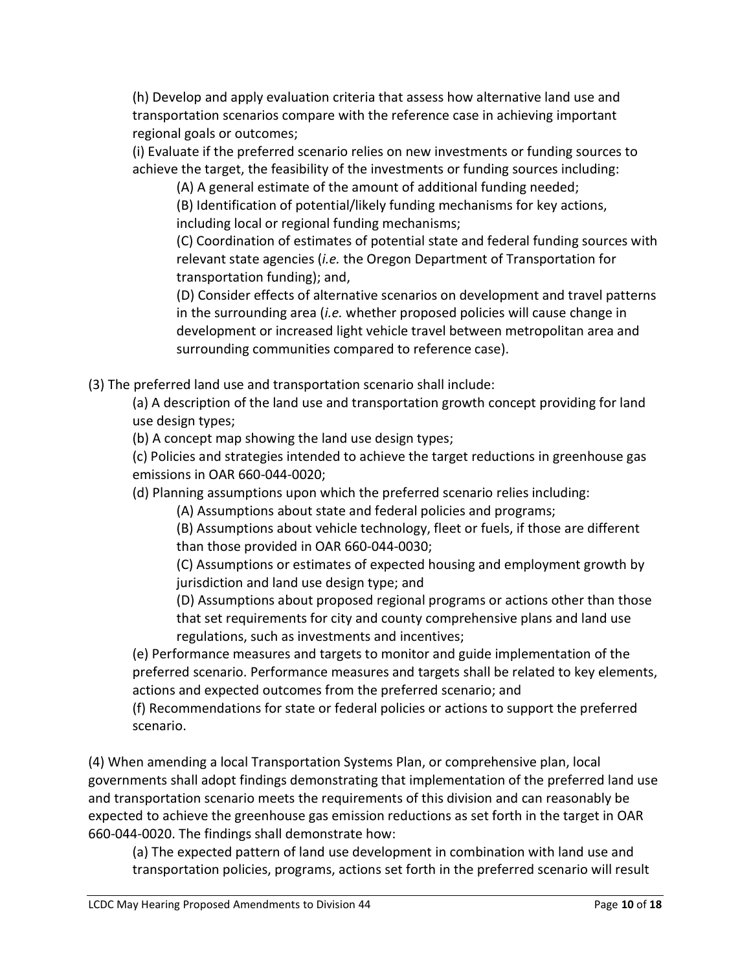(h) Develop and apply evaluation criteria that assess how alternative land use and transportation scenarios compare with the reference case in achieving important regional goals or outcomes;

(i) Evaluate if the preferred scenario relies on new investments or funding sources to achieve the target, the feasibility of the investments or funding sources including:

(A) A general estimate of the amount of additional funding needed;

(B) Identification of potential/likely funding mechanisms for key actions, including local or regional funding mechanisms;

(C) Coordination of estimates of potential state and federal funding sources with relevant state agencies (i.e. the Oregon Department of Transportation for transportation funding); and,

(D) Consider effects of alternative scenarios on development and travel patterns in the surrounding area *(i.e.* whether proposed policies will cause change in development or increased light vehicle travel between metropolitan area and surrounding communities compared to reference case).

(3) The preferred land use and transportation scenario shall include:

(a) A description of the land use and transportation growth concept providing for land use design types;

(b) A concept map showing the land use design types;

(c) Policies and strategies intended to achieve the target reductions in greenhouse gas emissions in OAR 660-044-0020;

(d) Planning assumptions upon which the preferred scenario relies including:

(A) Assumptions about state and federal policies and programs;

(B) Assumptions about vehicle technology, fleet or fuels, if those are different than those provided in OAR 660-044-0030;

(C) Assumptions or estimates of expected housing and employment growth by jurisdiction and land use design type; and

(D) Assumptions about proposed regional programs or actions other than those that set requirements for city and county comprehensive plans and land use regulations, such as investments and incentives;

(e) Performance measures and targets to monitor and guide implementation of the preferred scenario. Performance measures and targets shall be related to key elements, actions and expected outcomes from the preferred scenario; and

(f) Recommendations for state or federal policies or actions to support the preferred scenario.

(4) When amending a local Transportation Systems Plan, or comprehensive plan, local governments shall adopt findings demonstrating that implementation of the preferred land use and transportation scenario meets the requirements of this division and can reasonably be expected to achieve the greenhouse gas emission reductions as set forth in the target in OAR 660-044-0020. The findings shall demonstrate how:

(a) The expected pattern of land use development in combination with land use and transportation policies, programs, actions set forth in the preferred scenario will result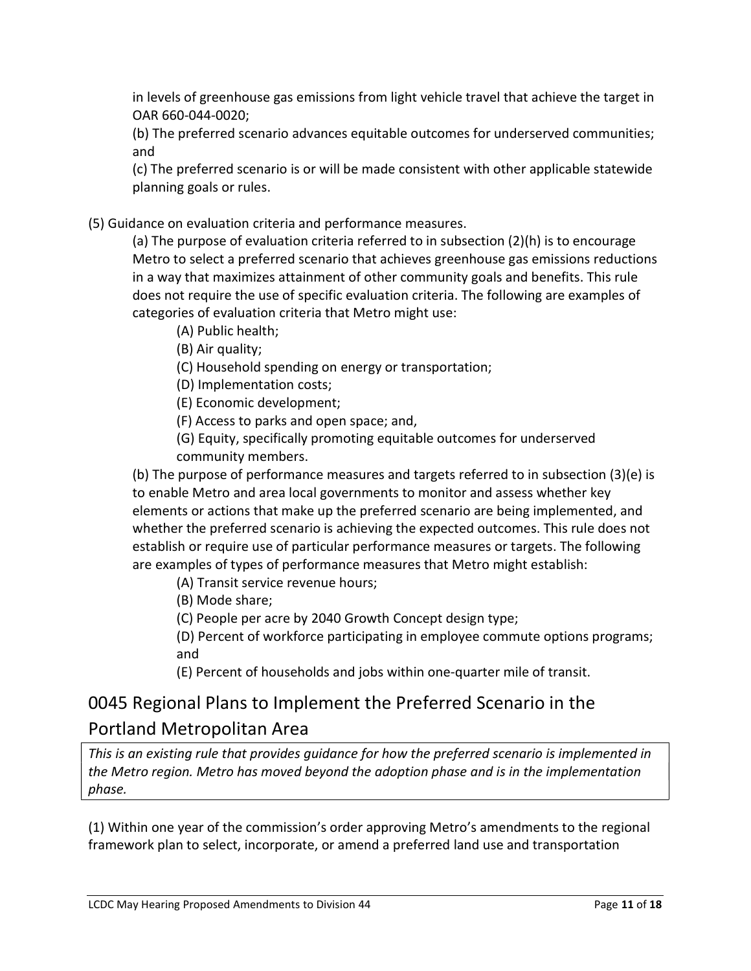in levels of greenhouse gas emissions from light vehicle travel that achieve the target in OAR 660-044-0020;

(b) The preferred scenario advances equitable outcomes for underserved communities; and

(c) The preferred scenario is or will be made consistent with other applicable statewide planning goals or rules.

(5) Guidance on evaluation criteria and performance measures.

(a) The purpose of evaluation criteria referred to in subsection (2)(h) is to encourage Metro to select a preferred scenario that achieves greenhouse gas emissions reductions in a way that maximizes attainment of other community goals and benefits. This rule does not require the use of specific evaluation criteria. The following are examples of categories of evaluation criteria that Metro might use:

(A) Public health;

(B) Air quality;

(C) Household spending on energy or transportation;

(D) Implementation costs;

(E) Economic development;

(F) Access to parks and open space; and,

(G) Equity, specifically promoting equitable outcomes for underserved community members.

(b) The purpose of performance measures and targets referred to in subsection (3)(e) is to enable Metro and area local governments to monitor and assess whether key elements or actions that make up the preferred scenario are being implemented, and whether the preferred scenario is achieving the expected outcomes. This rule does not establish or require use of particular performance measures or targets. The following are examples of types of performance measures that Metro might establish:

(A) Transit service revenue hours;

(B) Mode share;

(C) People per acre by 2040 Growth Concept design type;

(D) Percent of workforce participating in employee commute options programs; and

(E) Percent of households and jobs within one-quarter mile of transit.

### 0045 Regional Plans to Implement the Preferred Scenario in the Portland Metropolitan Area

This is an existing rule that provides guidance for how the preferred scenario is implemented in the Metro region. Metro has moved beyond the adoption phase and is in the implementation phase.

(1) Within one year of the commission's order approving Metro's amendments to the regional framework plan to select, incorporate, or amend a preferred land use and transportation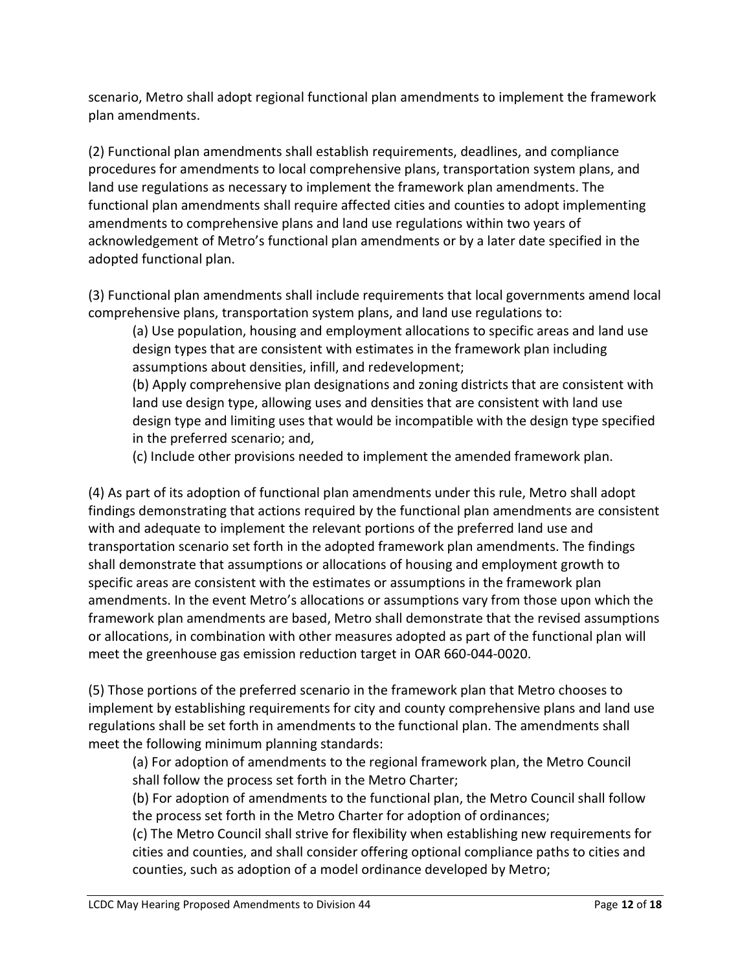scenario, Metro shall adopt regional functional plan amendments to implement the framework plan amendments.

(2) Functional plan amendments shall establish requirements, deadlines, and compliance procedures for amendments to local comprehensive plans, transportation system plans, and land use regulations as necessary to implement the framework plan amendments. The functional plan amendments shall require affected cities and counties to adopt implementing amendments to comprehensive plans and land use regulations within two years of acknowledgement of Metro's functional plan amendments or by a later date specified in the adopted functional plan.

(3) Functional plan amendments shall include requirements that local governments amend local comprehensive plans, transportation system plans, and land use regulations to:

(a) Use population, housing and employment allocations to specific areas and land use design types that are consistent with estimates in the framework plan including assumptions about densities, infill, and redevelopment;

(b) Apply comprehensive plan designations and zoning districts that are consistent with land use design type, allowing uses and densities that are consistent with land use design type and limiting uses that would be incompatible with the design type specified in the preferred scenario; and,

(c) Include other provisions needed to implement the amended framework plan.

(4) As part of its adoption of functional plan amendments under this rule, Metro shall adopt findings demonstrating that actions required by the functional plan amendments are consistent with and adequate to implement the relevant portions of the preferred land use and transportation scenario set forth in the adopted framework plan amendments. The findings shall demonstrate that assumptions or allocations of housing and employment growth to specific areas are consistent with the estimates or assumptions in the framework plan amendments. In the event Metro's allocations or assumptions vary from those upon which the framework plan amendments are based, Metro shall demonstrate that the revised assumptions or allocations, in combination with other measures adopted as part of the functional plan will meet the greenhouse gas emission reduction target in OAR 660-044-0020.

(5) Those portions of the preferred scenario in the framework plan that Metro chooses to implement by establishing requirements for city and county comprehensive plans and land use regulations shall be set forth in amendments to the functional plan. The amendments shall meet the following minimum planning standards:

(a) For adoption of amendments to the regional framework plan, the Metro Council shall follow the process set forth in the Metro Charter;

(b) For adoption of amendments to the functional plan, the Metro Council shall follow the process set forth in the Metro Charter for adoption of ordinances;

(c) The Metro Council shall strive for flexibility when establishing new requirements for cities and counties, and shall consider offering optional compliance paths to cities and counties, such as adoption of a model ordinance developed by Metro;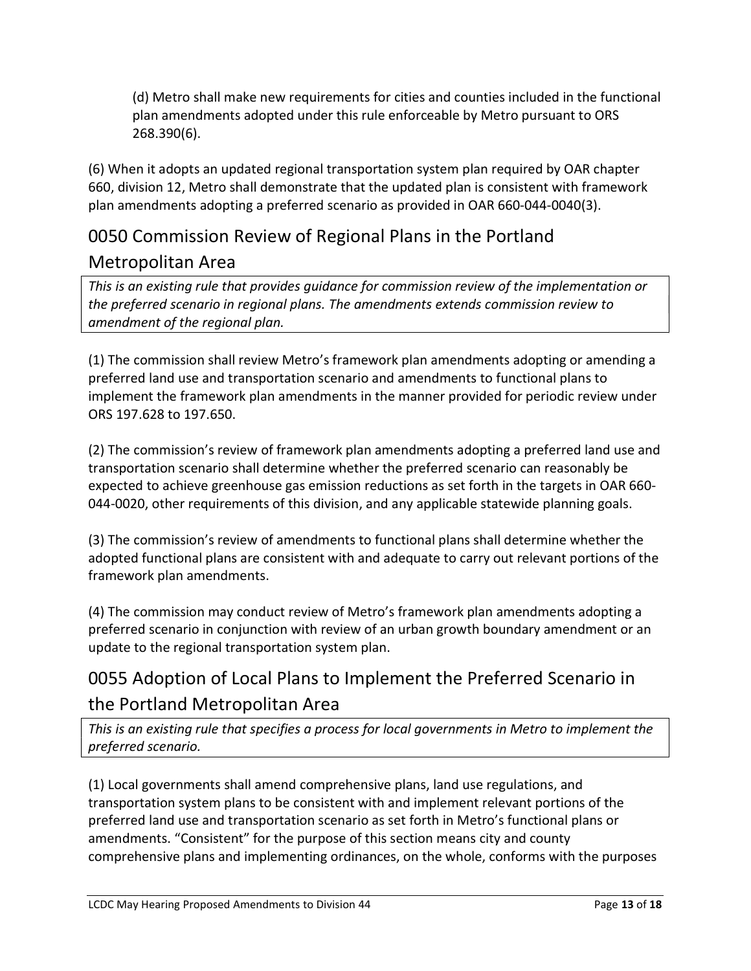(d) Metro shall make new requirements for cities and counties included in the functional plan amendments adopted under this rule enforceable by Metro pursuant to ORS 268.390(6).

(6) When it adopts an updated regional transportation system plan required by OAR chapter 660, division 12, Metro shall demonstrate that the updated plan is consistent with framework plan amendments adopting a preferred scenario as provided in OAR 660-044-0040(3).

# 0050 Commission Review of Regional Plans in the Portland Metropolitan Area

This is an existing rule that provides guidance for commission review of the implementation or the preferred scenario in regional plans. The amendments extends commission review to amendment of the regional plan.

(1) The commission shall review Metro's framework plan amendments adopting or amending a preferred land use and transportation scenario and amendments to functional plans to implement the framework plan amendments in the manner provided for periodic review under ORS 197.628 to 197.650.

(2) The commission's review of framework plan amendments adopting a preferred land use and transportation scenario shall determine whether the preferred scenario can reasonably be expected to achieve greenhouse gas emission reductions as set forth in the targets in OAR 660- 044-0020, other requirements of this division, and any applicable statewide planning goals.

(3) The commission's review of amendments to functional plans shall determine whether the adopted functional plans are consistent with and adequate to carry out relevant portions of the framework plan amendments.

(4) The commission may conduct review of Metro's framework plan amendments adopting a preferred scenario in conjunction with review of an urban growth boundary amendment or an update to the regional transportation system plan.

## 0055 Adoption of Local Plans to Implement the Preferred Scenario in the Portland Metropolitan Area

This is an existing rule that specifies a process for local governments in Metro to implement the preferred scenario.

(1) Local governments shall amend comprehensive plans, land use regulations, and transportation system plans to be consistent with and implement relevant portions of the preferred land use and transportation scenario as set forth in Metro's functional plans or amendments. "Consistent" for the purpose of this section means city and county comprehensive plans and implementing ordinances, on the whole, conforms with the purposes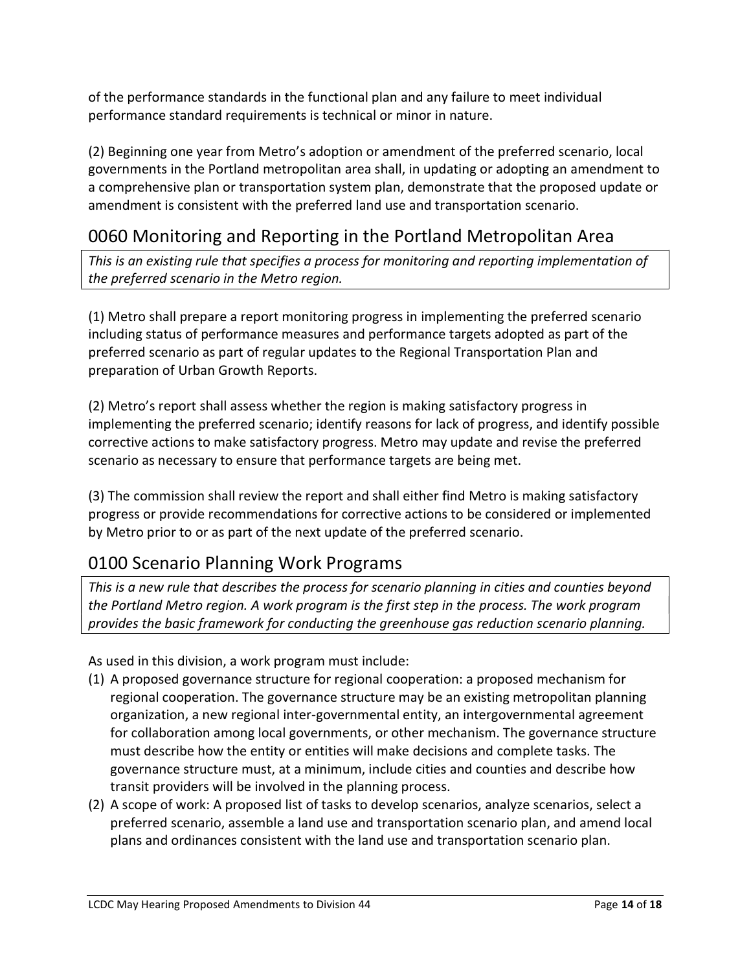of the performance standards in the functional plan and any failure to meet individual performance standard requirements is technical or minor in nature.

(2) Beginning one year from Metro's adoption or amendment of the preferred scenario, local governments in the Portland metropolitan area shall, in updating or adopting an amendment to a comprehensive plan or transportation system plan, demonstrate that the proposed update or amendment is consistent with the preferred land use and transportation scenario.

### 0060 Monitoring and Reporting in the Portland Metropolitan Area

This is an existing rule that specifies a process for monitoring and reporting implementation of the preferred scenario in the Metro region.

(1) Metro shall prepare a report monitoring progress in implementing the preferred scenario including status of performance measures and performance targets adopted as part of the preferred scenario as part of regular updates to the Regional Transportation Plan and preparation of Urban Growth Reports.

(2) Metro's report shall assess whether the region is making satisfactory progress in implementing the preferred scenario; identify reasons for lack of progress, and identify possible corrective actions to make satisfactory progress. Metro may update and revise the preferred scenario as necessary to ensure that performance targets are being met.

(3) The commission shall review the report and shall either find Metro is making satisfactory progress or provide recommendations for corrective actions to be considered or implemented by Metro prior to or as part of the next update of the preferred scenario.

### 0100 Scenario Planning Work Programs

This is a new rule that describes the process for scenario planning in cities and counties beyond the Portland Metro region. A work program is the first step in the process. The work program provides the basic framework for conducting the greenhouse gas reduction scenario planning.

As used in this division, a work program must include:

- (1) A proposed governance structure for regional cooperation: a proposed mechanism for regional cooperation. The governance structure may be an existing metropolitan planning organization, a new regional inter-governmental entity, an intergovernmental agreement for collaboration among local governments, or other mechanism. The governance structure must describe how the entity or entities will make decisions and complete tasks. The governance structure must, at a minimum, include cities and counties and describe how transit providers will be involved in the planning process.
- (2) A scope of work: A proposed list of tasks to develop scenarios, analyze scenarios, select a preferred scenario, assemble a land use and transportation scenario plan, and amend local plans and ordinances consistent with the land use and transportation scenario plan.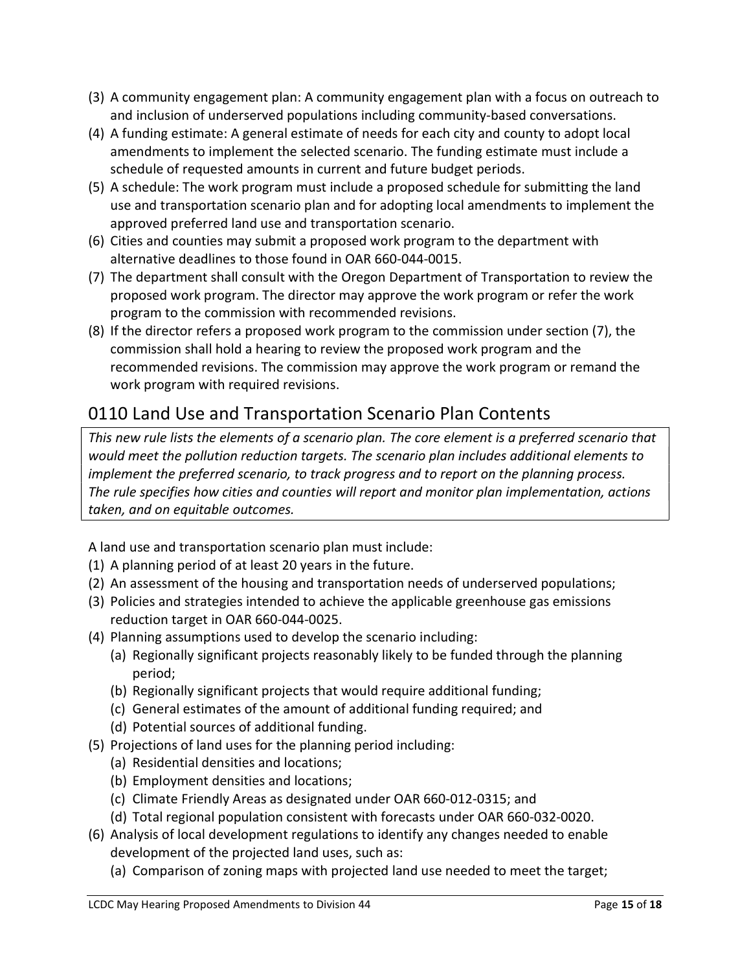- (3) A community engagement plan: A community engagement plan with a focus on outreach to and inclusion of underserved populations including community-based conversations.
- (4) A funding estimate: A general estimate of needs for each city and county to adopt local amendments to implement the selected scenario. The funding estimate must include a schedule of requested amounts in current and future budget periods.
- (5) A schedule: The work program must include a proposed schedule for submitting the land use and transportation scenario plan and for adopting local amendments to implement the approved preferred land use and transportation scenario.
- (6) Cities and counties may submit a proposed work program to the department with alternative deadlines to those found in OAR 660-044-0015.
- (7) The department shall consult with the Oregon Department of Transportation to review the proposed work program. The director may approve the work program or refer the work program to the commission with recommended revisions.
- (8) If the director refers a proposed work program to the commission under section (7), the commission shall hold a hearing to review the proposed work program and the recommended revisions. The commission may approve the work program or remand the work program with required revisions.

# 0110 Land Use and Transportation Scenario Plan Contents

This new rule lists the elements of a scenario plan. The core element is a preferred scenario that would meet the pollution reduction targets. The scenario plan includes additional elements to implement the preferred scenario, to track progress and to report on the planning process. The rule specifies how cities and counties will report and monitor plan implementation, actions taken, and on equitable outcomes.

A land use and transportation scenario plan must include:

- (1) A planning period of at least 20 years in the future.
- (2) An assessment of the housing and transportation needs of underserved populations;
- (3) Policies and strategies intended to achieve the applicable greenhouse gas emissions reduction target in OAR 660-044-0025.
- (4) Planning assumptions used to develop the scenario including:
	- (a) Regionally significant projects reasonably likely to be funded through the planning period;
	- (b) Regionally significant projects that would require additional funding;
	- (c) General estimates of the amount of additional funding required; and
	- (d) Potential sources of additional funding.
- (5) Projections of land uses for the planning period including:
	- (a) Residential densities and locations;
	- (b) Employment densities and locations;
	- (c) Climate Friendly Areas as designated under OAR 660-012-0315; and
	- (d) Total regional population consistent with forecasts under OAR 660-032-0020.
- (6) Analysis of local development regulations to identify any changes needed to enable development of the projected land uses, such as:
	- (a) Comparison of zoning maps with projected land use needed to meet the target;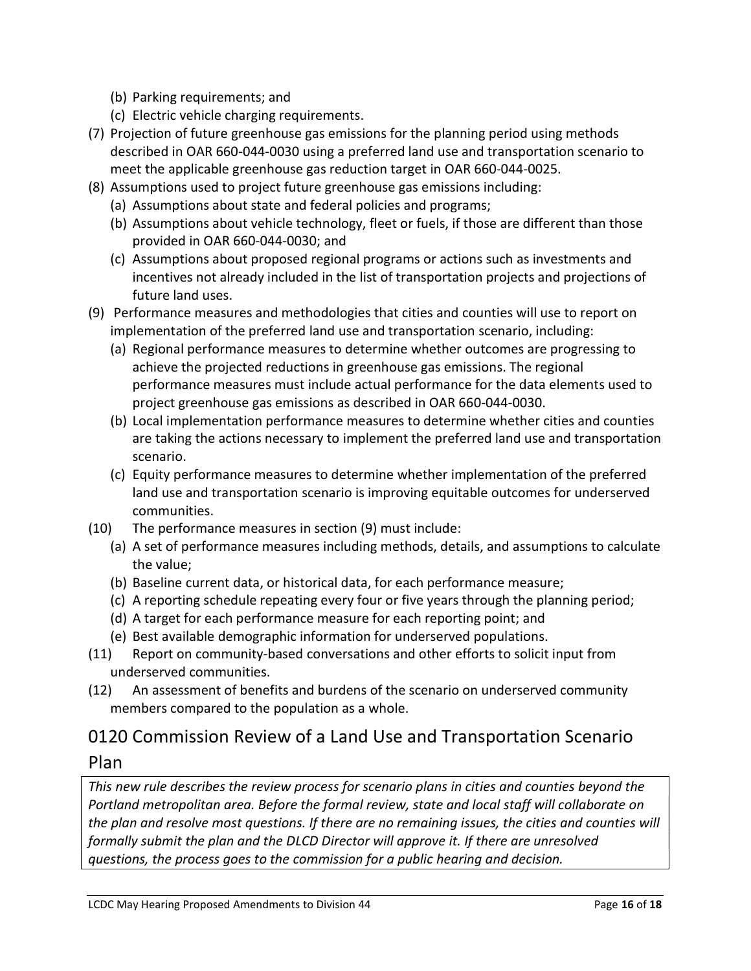- (b) Parking requirements; and
- (c) Electric vehicle charging requirements.
- (7) Projection of future greenhouse gas emissions for the planning period using methods described in OAR 660-044-0030 using a preferred land use and transportation scenario to meet the applicable greenhouse gas reduction target in OAR 660-044-0025.
- (8) Assumptions used to project future greenhouse gas emissions including:
	- (a) Assumptions about state and federal policies and programs;
	- (b) Assumptions about vehicle technology, fleet or fuels, if those are different than those provided in OAR 660-044-0030; and
	- (c) Assumptions about proposed regional programs or actions such as investments and incentives not already included in the list of transportation projects and projections of future land uses.
- (9) Performance measures and methodologies that cities and counties will use to report on implementation of the preferred land use and transportation scenario, including:
	- (a) Regional performance measures to determine whether outcomes are progressing to achieve the projected reductions in greenhouse gas emissions. The regional performance measures must include actual performance for the data elements used to project greenhouse gas emissions as described in OAR 660-044-0030.
	- (b) Local implementation performance measures to determine whether cities and counties are taking the actions necessary to implement the preferred land use and transportation scenario.
	- (c) Equity performance measures to determine whether implementation of the preferred land use and transportation scenario is improving equitable outcomes for underserved communities.
- (10) The performance measures in section (9) must include:
	- (a) A set of performance measures including methods, details, and assumptions to calculate the value;
	- (b) Baseline current data, or historical data, for each performance measure;
	- (c) A reporting schedule repeating every four or five years through the planning period;
	- (d) A target for each performance measure for each reporting point; and
	- (e) Best available demographic information for underserved populations.
- (11) Report on community-based conversations and other efforts to solicit input from underserved communities.
- (12) An assessment of benefits and burdens of the scenario on underserved community members compared to the population as a whole.

## 0120 Commission Review of a Land Use and Transportation Scenario Plan

This new rule describes the review process for scenario plans in cities and counties beyond the Portland metropolitan area. Before the formal review, state and local staff will collaborate on the plan and resolve most questions. If there are no remaining issues, the cities and counties will formally submit the plan and the DLCD Director will approve it. If there are unresolved questions, the process goes to the commission for a public hearing and decision.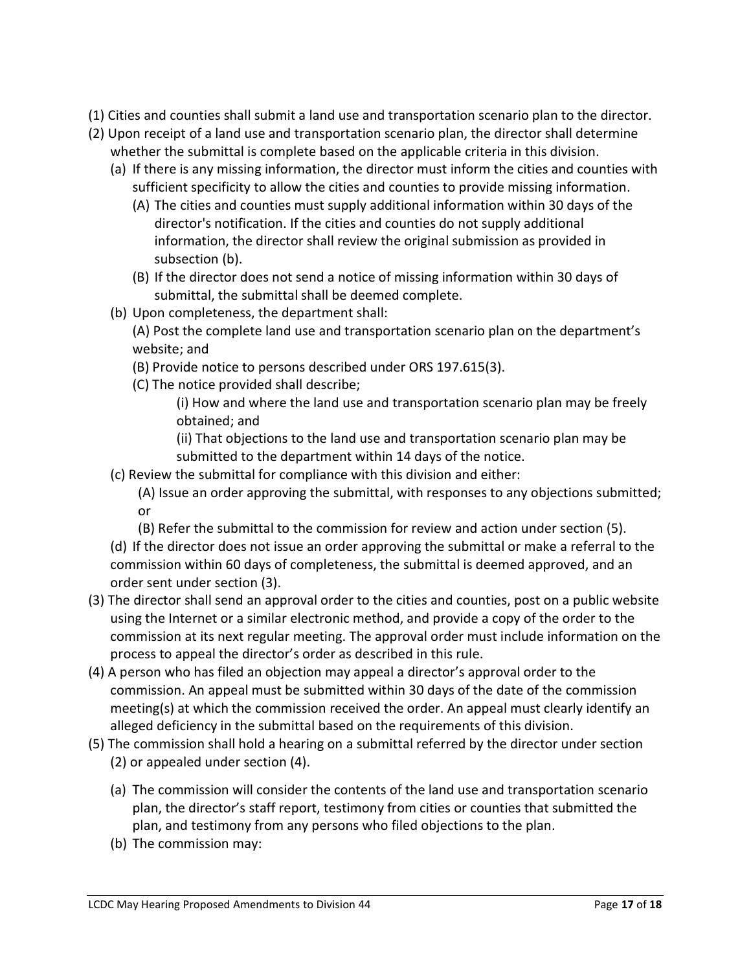- (1) Cities and counties shall submit a land use and transportation scenario plan to the director.
- (2) Upon receipt of a land use and transportation scenario plan, the director shall determine whether the submittal is complete based on the applicable criteria in this division.
	- (a) If there is any missing information, the director must inform the cities and counties with sufficient specificity to allow the cities and counties to provide missing information.
		- (A) The cities and counties must supply additional information within 30 days of the director's notification. If the cities and counties do not supply additional information, the director shall review the original submission as provided in subsection (b).
		- (B) If the director does not send a notice of missing information within 30 days of submittal, the submittal shall be deemed complete.
	- (b) Upon completeness, the department shall:
		- (A) Post the complete land use and transportation scenario plan on the department's website; and
		- (B) Provide notice to persons described under ORS 197.615(3).
		- (C) The notice provided shall describe;

(i) How and where the land use and transportation scenario plan may be freely obtained; and

(ii) That objections to the land use and transportation scenario plan may be submitted to the department within 14 days of the notice.

(c) Review the submittal for compliance with this division and either:

(A) Issue an order approving the submittal, with responses to any objections submitted; or

(B) Refer the submittal to the commission for review and action under section (5).

(d) If the director does not issue an order approving the submittal or make a referral to the commission within 60 days of completeness, the submittal is deemed approved, and an order sent under section (3).

- (3) The director shall send an approval order to the cities and counties, post on a public website using the Internet or a similar electronic method, and provide a copy of the order to the commission at its next regular meeting. The approval order must include information on the process to appeal the director's order as described in this rule.
- (4) A person who has filed an objection may appeal a director's approval order to the commission. An appeal must be submitted within 30 days of the date of the commission meeting(s) at which the commission received the order. An appeal must clearly identify an alleged deficiency in the submittal based on the requirements of this division.
- (5) The commission shall hold a hearing on a submittal referred by the director under section (2) or appealed under section (4).
	- (a) The commission will consider the contents of the land use and transportation scenario plan, the director's staff report, testimony from cities or counties that submitted the plan, and testimony from any persons who filed objections to the plan.
	- (b) The commission may: